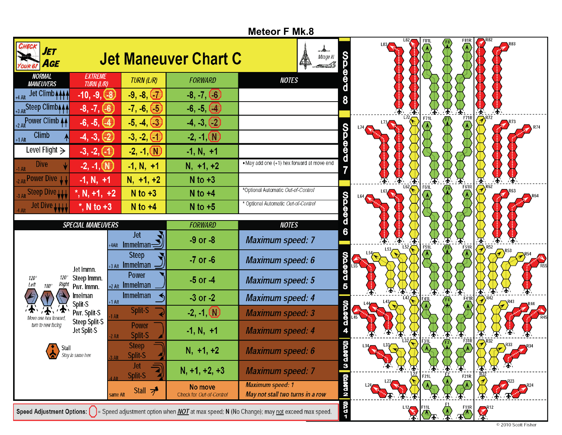